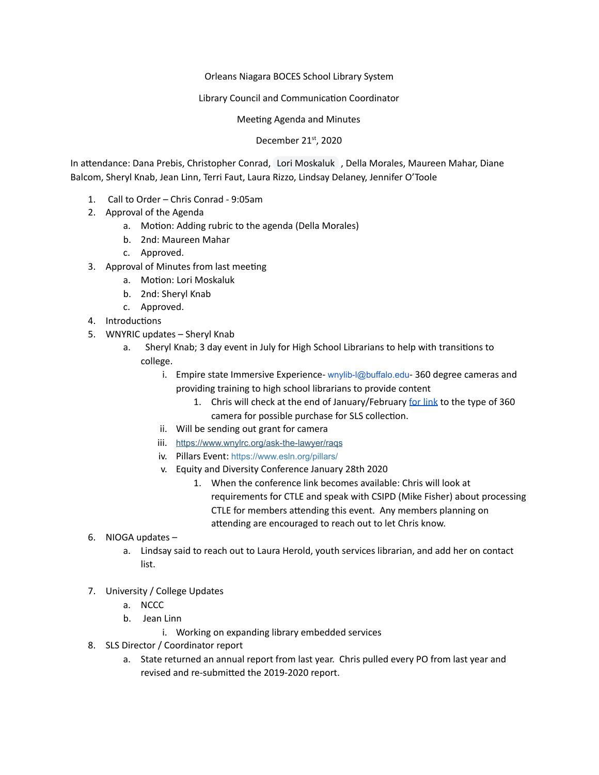## Orleans Niagara BOCES School Library System

## Library Council and Communication Coordinator

## Meeting Agenda and Minutes

## December 21st, 2020

In attendance: Dana Prebis, Christopher Conrad, Lori Moskaluk , Della Morales, Maureen Mahar, Diane Balcom, Sheryl Knab, Jean Linn, Terri Faut, Laura Rizzo, Lindsay Delaney, Jennifer O'Toole

- 1. Call to Order Chris Conrad 9:05am
- 2. Approval of the Agenda
	- a. Motion: Adding rubric to the agenda (Della Morales)
	- b. 2nd: Maureen Mahar
	- c. Approved.
- 3. Approval of Minutes from last meeting
	- a. Motion: Lori Moskaluk
	- b. 2nd: Sheryl Knab
	- c. Approved.
- 4. Introductions
- 5. WNYRIC updates Sheryl Knab
	- a. Sheryl Knab; 3 day event in July for High School Librarians to help with transitions to college.
		- i. Empire state Immersive Experience-  $wnv$ lib- $|$ @buffalo.edu-360 degree cameras and providing training to high school librarians to provide content
			- 1. Chris will check at the end of January/February [for link](https://esie.space/node/182) to the type of 360 camera for possible purchase for SLS collection.
		- ii. Will be sending out grant for camera
		- iii. https://www.wnvlrc.org/ask-the-lawyer/rags
		- iv. Pillars Event: <https://www.esln.org/pillars/>
		- v. Equity and Diversity Conference January 28th 2020
			- 1. When the conference link becomes available: Chris will look at requirements for CTLE and speak with CSIPD (Mike Fisher) about processing CTLE for members attending this event. Any members planning on attending are encouraged to reach out to let Chris know.
- 6. NIOGA updates
	- a. Lindsay said to reach out to Laura Herold, youth services librarian, and add her on contact list.
- 7. University / College Updates
	- a. NCCC
	- b. Jean Linn
		- i. Working on expanding library embedded services
- 8. SLS Director / Coordinator report
	- a. State returned an annual report from last year. Chris pulled every PO from last year and revised and re-submitted the 2019-2020 report.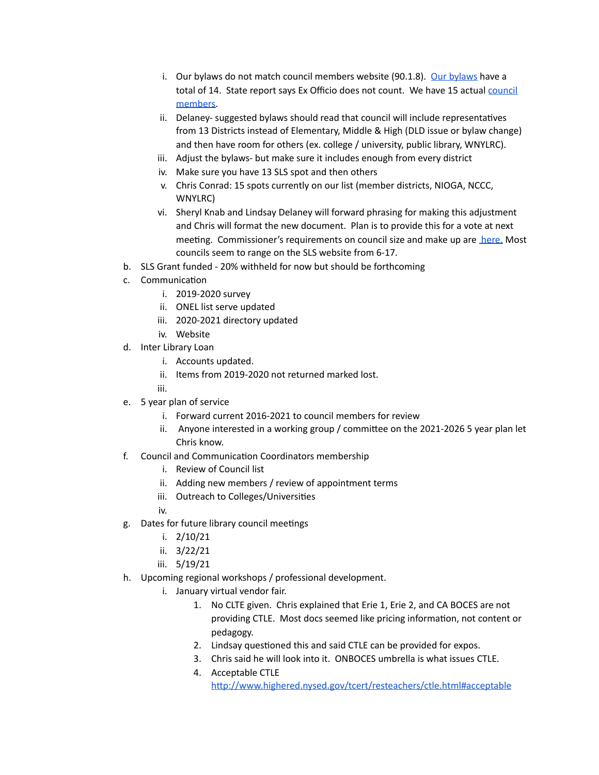- i. [Our bylaws](https://www.onboces.org/cms/lib/NY02216875/Centricity/Domain/66/cmpolicy.pdf) do not match council members website (90.1.8). Our bylaws have a total of 14. State report says Ex Officio does not count. We have 15 actual [council](https://www.onboces.org/cms/lib/NY02216875/Centricity/ModuleInstance/2547/Council_Membership_2020-2021.pdf)  [members](https://www.onboces.org/cms/lib/NY02216875/Centricity/ModuleInstance/2547/Council_Membership_2020-2021.pdf) .
- ii. Delaney- suggested bylaws should read that council will include representatives from 13 Districts instead of Elementary, Middle & High (DLD issue or bylaw change) and then have room for others (ex. college / university, public library, WNYLRC).
- iii. Adjust the bylaws- but make sure it includes enough from every district
- iv. Make sure you have 13 SLS spot and then others
- v. Chris Conrad: 15 spots currently on our list (member districts, NIOGA, NCCC, WNYLRC)
- vi. Sheryl Knab and Lindsay Delaney will forward phrasing for making this adjustment and Chris will format the new document. Plan is to provide this for a vote at next meeting. Commissioner's requirements on council size and make up are [here.](https://govt.westlaw.com/nycrr/Document/I365241e6c22211ddb29d8bee567fca9f?viewType=FullText&originationContext=documenttoc&transitionType=CategoryPageItem&contextData=(sc.Default)) Most councils seem to range on the SLS website from 6-17.
- b. SLS Grant funded 20% withheld for now but should be forthcoming
- c. Communication
	- i. 2019-2020 survey
	- ii. ONEL list serve updated
	- iii. 2020-2021 directory updated
	- iv. Website
- d. Inter Library Loan
	- i. Accounts updated.
	- ii. Items from 2019-2020 not returned marked lost.

iii.

- e. 5 year plan of service
	- i. Forward current 2016-2021 to council members for review
	- ii. Anyone interested in a working group / committee on the  $2021-20265$  year plan let Chris know.
- f. Council and Communication Coordinators membership
	- i. Review of Council list
	- ii. Adding new members / review of appointment terms
	- iii. Outreach to Colleges/Universities

iv.

- g. Dates for future library council meetings
	- i. 2/10/21
	- ii. 3/22/21
	- iii. 5/19/21
- h. Upcoming regional workshops / professional development.
	- i. January virtual vendor fair.
		- 1. No CLTE given. Chris explained that Erie 1, Erie 2, and CA BOCES are not providing CTLE. Most docs seemed like pricing information, not content or pedagogy.
		- 2. Lindsay questioned this and said CTLE can be provided for expos.
		- 3. Chris said he will look into it. ONBOCES umbrella is what issues CTLE.
		- 4. Acceptable CTLE http://www.highered.nysed.gov/tcert/resteachers/ctle.html#acceptable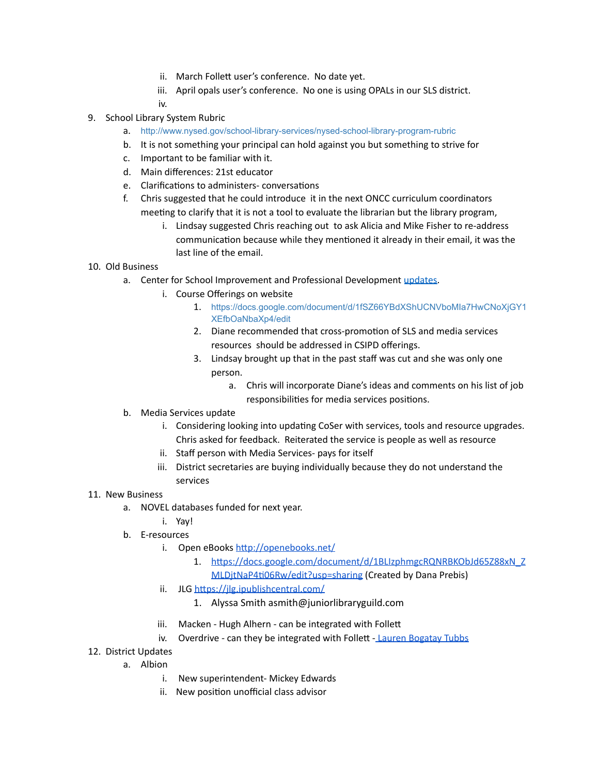- ii. March Follett user's conference. No date yet.
- iii. April opals user's conference. No one is using OPALs in our SLS district.
- iv.
- 9. School Library System Rubric
	- a. <http://www.nysed.gov/school-library-services/nysed-school-library-program-rubric>
	- b. It is not something your principal can hold against you but something to strive for
	- c. Important to be familiar with it.
	- d. Main differences: 21st educator
	- e. Clarifications to administers- conversations
	- f. Chris suggested that he could introduce it in the next ONCC curriculum coordinators meeting to clarify that it is not a tool to evaluate the librarian but the library program,
		- i. Lindsay suggested Chris reaching out to ask Alicia and Mike Fisher to re-address communication because while they mentioned it already in their email, it was the last line of the email.
- 10. Old Business
	- a. Center for School Improvement and Professional Development [updates](https://sites.google.com/onboces.org/csipd/home).
		- i. Course Offerings on website
			- 1. [https://docs.google.com/document/d/1fSZ66YBdXShUCNVboMIa7HwCNoXjGY1](https://docs.google.com/document/d/1fSZ66YBdXShUCNVboMIa7HwCNoXjGY1XEfbOaNbaXp4/edit) [XEfbOaNbaXp4/edit](https://docs.google.com/document/d/1fSZ66YBdXShUCNVboMIa7HwCNoXjGY1XEfbOaNbaXp4/edit)
			- 2. Diane recommended that cross-promotion of SLS and media services resources should be addressed in CSIPD offerings.
			- 3. Lindsay brought up that in the past staff was cut and she was only one person.
				- a. Chris will incorporate Diane's ideas and comments on his list of job responsibilities for media services positions.
	- b. Media Services update
		- i. Considering looking into updating CoSer with services, tools and resource upgrades. Chris asked for feedback. Reiterated the service is people as well as resource
		- ii. Staff person with Media Services- pays for itself
		- iii. District secretaries are buying individually because they do not understand the services
- 11. New Business
	- a. NOVEL databases funded for next year.
		- i. Yay!
	- b. E-resources
		- i. Open eBooks http://openebooks.net/
			- 1. https://docs.google.com/document/d/1BLIzphmgcRQNRBKObJd65Z88xN\_Z
			- MLDjtNaP4ti06Rw/edit?usp=sharing (Created by Dana Prebis)
		- ii. JLG https://jlg.jpublishcentral.com/
			- 1. Alyssa Smith asmith@juniorlibraryguild.com
		- iii. Macken Hugh Alhern can be integrated with Follett
		- iv. Overdrive can they be integrated with Follett - [Lauren Bogatay Tubbs](mailto:lbogataytubbs@rakuten.overdrive.com)
- 12. District Updates
	- a. Albion
		- i. New superintendent- Mickey Edwards
		- ii. New position unofficial class advisor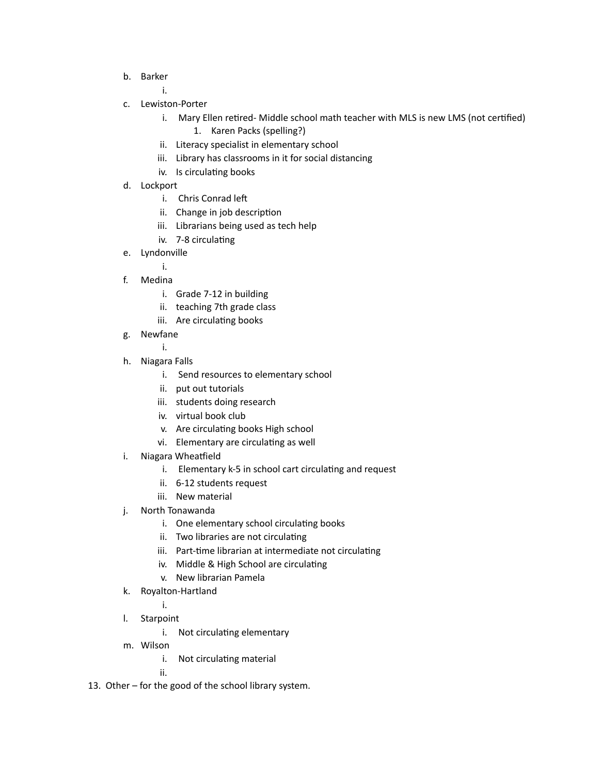b. Barker

i.

- c. Lewiston-Porter
	- i. Mary Ellen retired- Middle school math teacher with MLS is new LMS (not certified)
		- 1. Karen Packs (spelling?)
	- ii. Literacy specialist in elementary school
	- iii. Library has classrooms in it for social distancing
	- iv. Is circulating books
- d. Lockport
	- i. Chris Conrad le
	- ii. Change in job description
	- iii. Librarians being used as tech help
	- iv. 7-8 circulating
- e. Lyndonville

i.

- f. Medina
	- i. Grade 7-12 in building
	- ii. teaching 7th grade class
	- iii. Are circulating books
- g. Newfane
	- i.
- h. Niagara Falls
	- i. Send resources to elementary school
	- ii. put out tutorials
	- iii. students doing research
	- iv. virtual book club
	- v. Are circulating books High school
	- vi. Elementary are circulating as well
- i. Niagara Wheatfield
	- i. Elementary k-5 in school cart circulating and request
	- ii. 6-12 students request
	- iii. New material
- j. North Tonawanda
	- i. One elementary school circulating books
	- ii. Two libraries are not circulating
	- iii. Part-time librarian at intermediate not circulating
	- iv. Middle & High School are circulating
	- v. New librarian Pamela
- k. Royalton-Hartland
	- i.
- l. Starpoint
	- i. Not circulating elementary
- m. Wilson
	- i. Not circulating material

ii.

13. Other – for the good of the school library system.